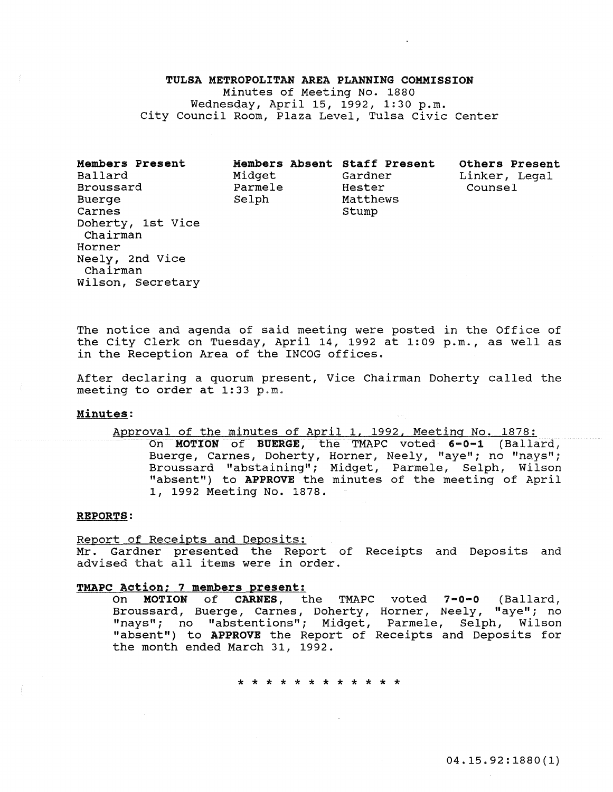# TULSA METROPOLITAN AREA PLANNING COMMISSION Minutes of Meeting No. 1880 Wednesqay, April 15, 1992, 1:30 p.m. city Council Room, Plaza Level, Tulsa civic Center

Members Present Ballard Broussard Buerge Carnes Doherty, 1st Vice Chairman Horner Neely, 2nd Vice Chairman Wilson, Secretary

|         | Members Absent Staff Present |
|---------|------------------------------|
| Midget  | Gardner                      |
| Parmele | Hester                       |
| Selph   | Matthews                     |
|         | Stump                        |

Others Present Linker, Legal Counsel

The notice and agenda of said meeting were posted in the Office of the City Clerk on Tuesday, April 14, 1992 at 1:09 p.m., as well as in the Reception Area of the INCOG offices.

After declaring a quorum present, Vice Chairman Doherty called the meeting to order at 1:33 p.m.

#### Minutes:

Approval of the minutes of April 1, 1992, Meeting No. 1878:

On MOTION of BUERGE, the TMAPC voted 6-0-1 (Ballard, Buerge, Carnes, Doherty, Horner, Neely, "aye"; no "nays"; Broussard "abstaining"; Midget, Parmele, Selph, Wilson "absent") to APPROVE the minutes of the meeting of April 1, 1992 Meeting No. 1878.

#### REPORTS:

Report of Receipts and Deposits: Mr. Gardner presented the Report of Receipts and Deposits and advised that all items were in order.

# TMAPC Action; 7 members present:

On MOTION of CARNES, the TMAPC voted 7-0-0 (Ballard, Broussard, Buerge, Carnes, Doherty, Horner, Neely, "aye"; no "nays"; no "abstentions"; Midget, Parmele, Selph, Wilson "absent") to APPROVE the Report of Receipts and Deposits for the month ended March 31, 1992.

\* \* \* \* \* \* \* \* \* \* \* \*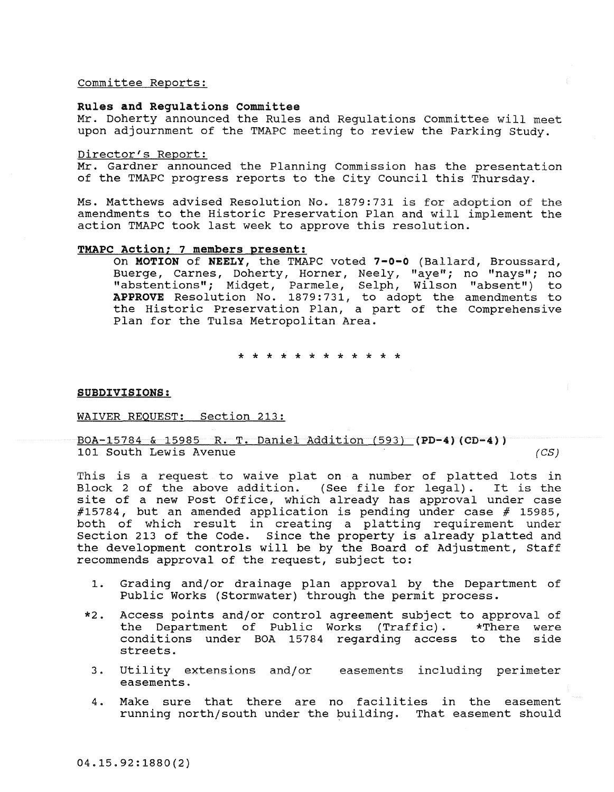committee Reports:

# Rules and Regulations committee

Mr. Doherty announced the Rules and Regulations committee will meet upon adjournment of the TMAPC meeting to review the Parking study.

### Director's Report:

Mr. Gardner announced the Planning Commission has the presentation of the TMAPC progress reports to the City Council this Thursday.

Ms. Matthews advised Resolution No. 1879:731 is for adoption of the amendments to the Historic Preservation Plan and will implement the action TMAPC took last week to approve this resolution.

# TMAPC Action; 7 members present:

On MOTION of NEELY, the TMAPC voted 7-0-0 (Ballard, Broussard, Buerge, Carnes, Doherty, Horner, Neely, "aye"; no "nays"; no "abstentions"; Midget, Parmele, Selph, Wilson "absent") to APPROVE Resolution No. 1879:731, to adopt the amendments to the Historic Preservation Plan, a part of the Comprehensive Plan for the Tulsa Metropolitan Area.

\* \* \* \* \* \* \* \* \* \* \* \*

#### SUBDIVISIONS:

# WAIVER REQUEST: Section 213:

# BOA-15784 & 15985 R. T. Daniel Addition (593) (PD-4) (CD-4» 101 South Lewis Avenue *(eS)*

This is a request to waive plat on a number of platted lots in Block 2 of the above addition. (See file for legal). It is the site of a new Post Office, which already has approval under case #15784, but an amended application is pending under case # 15985, both of which result in creating a platting requirement under section 213 of the Code. Since the property is already platted and the development controls will be by the Board of Adjustment, Staff recommends approval of the request, subject to:

- 1. Grading and/or drainage plan approval by the Department of Public Works (Stormwater) through the permit process.
- \*2. Access points and/or control agreement subject to approval of the Department of Public Works (Traffic). conditions under BOA 15784 regarding access to the side streets.
	- 3. Utility extensions and/or easements including perimeter easements.
	- 4. Make sure that there are no facilities in the easement running north/south under the building. That easement should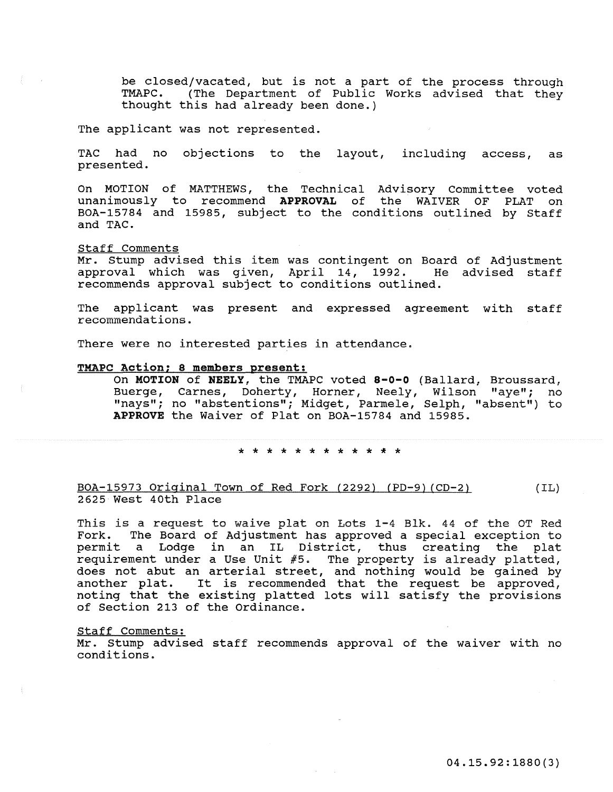be closed/vacated, but is not a part of the process through TMAPC. (The Department of Public Works advised that they thought this had already been done.)

The applicant was not represented.

TAC had no objections to the layout, including access, as presented.

On MOTION of MATTHEWS, the Technical Advisory Committee voted unanimously to recommend **APPROVAL** of the WAIVER OF PLAT on BOA-15784 and 15985, subject to the conditions outlined by Staff and TAC.

#### Staff Comments

Mr. Stump advised this item was contingent on Board of Adjustment<br>approval which was given, April 14, 1992. He advised staff approval which was given, April 14, 1992. recommends approval subject to conditions outlined.

The applicant was present and expressed agreement with staff recommendations.

There were no interested parties in attendance.

# TMAPC Action; 8 members present:

On **MOTION of NEELY,** the TMAPC voted **8-0-0** (Ballard, Broussard, Buerge, Carnes, Doherty, Horner, Neely, Wilson "aye"; no "nays"; no "abstentions"; Midget, Parmele, Selph, "absent") to **APPROVE** the Waiver of Plat on BOA-15784 and 15985.

\* \* \* \* \* \* \* \* \* \* \* \*

#### BOA-15973 Original Town of Red Fork (2292) (PD-9) (CD-2) 2625 West 40th Place (IL)

This is a request to waive plat on Lots 1-4 Blk. 44 of the OT Red Fork. The Board of Adjustment has approved a special exception to permit a Lodge in an IL District, thus creating the plat requirement under a Use Unit #5. The property is already platted, does not abut an arterial street, and nothing would be gained by another plat. It is recommended that the request be approved, noting that the existing platted lots will satisfy the provisions of section 213 of the Ordinance.

#### Staff Comments:

Mr. stump advised staff recommends approval of the waiver with no conditions.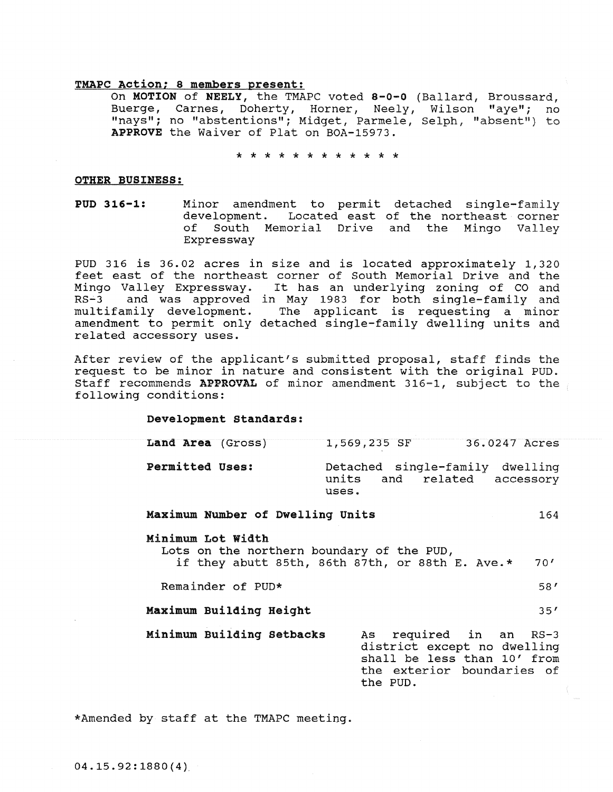#### TMAPC Action; 8 members present:

On MOTION of NEELY, the TMAPC voted 8-0-0 (Ballard, Broussard, Buerge, Carnes, Doherty, Horner, Neely, Wilson "aye"; no "nays"; no "abstentions"; Midget, Parmele, Selph, "absent") to APPROVE the Waiver of Plat on BOA-15973.

\* \* \* \* \* \* \* \* \* \* \* \*

# OTHER BUSINESS:

PUD **316-1:** Minor amendment to permit detached single-family development. Located east of the northeast corner<br>of South Memorial Drive and the Mingo Valley South Memorial Drive and the Mingo Valley Expressway

PUD 316 is 36.02 acres in size and is located approximately 1,320 feet east of the northeast corner of South Memorial Drive and the Mingo Valley Expressway. It has an underlying zoning of CO and RS-3 and was approved in May 1983 for both single-family and multifamily development. The applicant is requesting a minor amendment to permit only detached single-family dwelling units and related accessory uses.

After review of the applicant's submitted proposal, staff finds the request to be minor in nature and consistent with the original PUD. Staff recommends APPROVAL of minor amendment  $316-1$ , subject to the following conditions:

### Development Standards:

| Land Area (Gross)      | 1,569,235 SF   |                                                          | 36.0247 Acres |
|------------------------|----------------|----------------------------------------------------------|---------------|
| <b>Permitted Uses:</b> | units<br>uses. | Detached single-family dwelling<br>and related accessory |               |

# Maximum Number of Dwelling Units 164

### Minimum Lot width

Lots on the northern boundary of the PUD, if they abutt 85th, 86th 87th, or 88th E. Ave.\* 70'

Remainder of PUD\* 58'

- Maximum Building Height 35'
- Minimum Building Setbacks As required in an RS-3 district except no dwelling shall be less than 10' from the exterior boundaries of the PUD.

\*Amended by staff at the TMAPC meeting.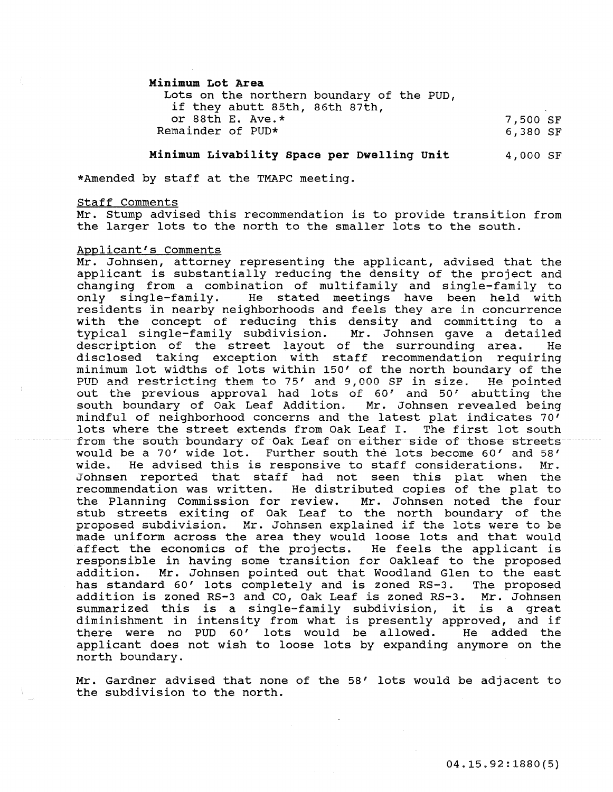Minimum Lot Area

Lots on the northern boundary of the PUD, if they abutt 85th, 86th 87th, or 88th E. Ave.\* Remainder of PUD\* 7,500 SF 6,380 SF

Minimum Livability Space per Dwelling unit 4,000 SF

\*Amended by staff at the TMAPC meeting.

Staff Comments

Mr. Stump advised this recommendation is to provide transition from the larger lots to the north to the smaller lots to the south.

#### Applicant's Comments

Mr. Johnsen, attorney representing the applicant, advised that the applicant is substantially reducing the density of the project and changing from a combination of multifamily and single-family to only single-family. He stated meetings have been held with residents in nearby neighborhoods and feels they are in concurrence with the concept of reducing this density and committing to a typical single-family subdivision. Mr. Johnsen gave a detailed description of the street layout of the surrounding area. He disclosed taking exception with staff recommendation requiring minimum lot widths of lots within 150' of the north boundary of the PUD and restricting them to 75' and 9,000 SF in size. He pointed out the previous approval had lots of 60' and 50' abutting the south boundary of Oak Leaf Addition. Mr. Johnsen revealed being mindful of neighborhood concerns and the latest plat indicates 70' lots where the street extends from Oak Leaf I. The first lot south from the south boundary of Oak Leaf on either side of those streets would be a 70' wide lot. Further south the lots become 60' and 58'<br>wide. He advised this is responsive to staff considerations. Mr. He advised this is responsive to staff considerations. Johnsen reported that staff had not seen this plat when the recommendation was written. He distributed copies of the plat to<br>the Planning Commission for review. Mr. Johnsen noted the four the Planning Commission for review. stub streets exiting of Oak Leaf to the north boundary of the proposed subdivision. Mr. Johnsen explained if the lots were to be made uniform across the area they would loose lots and that would affect the economics of the projects. He feels the applicant is responsible in having some transition for Oakleaf to the proposed Mr. Johnsen pointed out that Woodland Glen to the east<br>rd 60' lots completely and is zoned RS-3. The proposed has standard 60' lots completely and is zoned RS-3. addition is zoned RS-3 and CO, Oak Leaf is zoned RS-3. Mr. Johnsen summarized this is a single-family subdivision, it is a great diminishment in intensity from what is presently approved, and if<br>there were no PUD 60' lots would be allowed. The added the there were no PUD 60' lots would be allowed. applicant does not wish to loose lots by expanding anymore on the north boundary.

Mr. Gardner advised that none of the 58' lots would be adjacent to the subdivision to the north.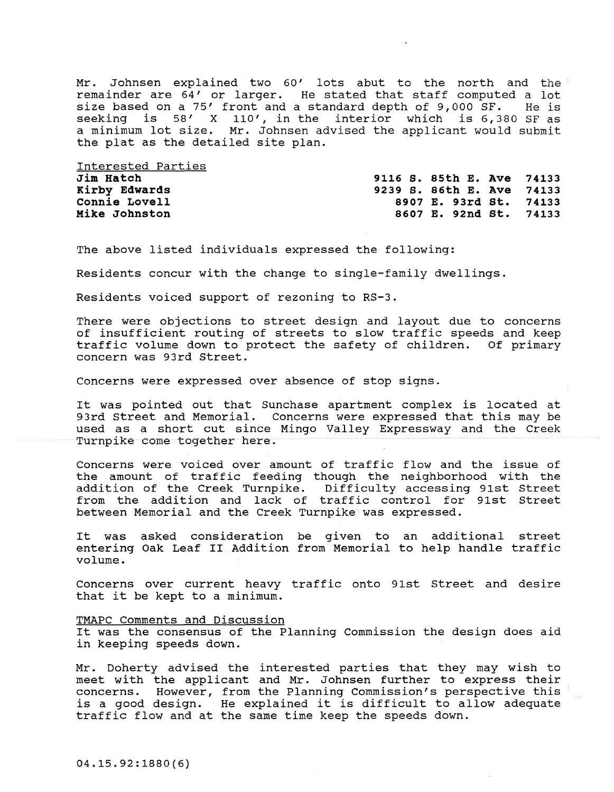Mr. Johnsen explained two 60' lots abut to the north and the remainder are 64' or larger. He stated that staff computed a lot size based on a 75' front and a standard depth of 9,000 SF. He is size based on a 75' front and a standard depth of 9,000 SF. seeking is 58' X 110', in the interior which is 6,380 SF as a minimum lot size. Mr. Johnsen advised the applicant would submit the plat as the detailed site plan.

Interested Parties Jim Hatch Kirby Edwards connie Lovell Mike Johnston

9116 S. 85th E. Ave 74133 9239 S. 86th E. Ave 74133 8907 E. 93rd st. 74133 8607 E. 92nd st. 74133

The above listed individuals expressed the following:

Residents concur with the change to single-family dwellings.

Residents voiced support of rezoning to RS-3.

There were objections to street design and layout due to concerns of insufficient routing of streets to slow traffic speeds and keep traffic volume down to protect the safety of children. Of primary concern was 93rd Street.

Concerns were expressed over absence of stop signs.

It was pointed out that Sunchase apartment complex is located at 93rd street and Memorial. Concerns were expressed that this may be used as a short cut since Mingo Valley Expressway and the Creek Turnpike come together here.

Concerns were voiced over amount of traffic flow and the issue of the amount of traffic feeding though the neighborhood with the addition of the Creek Turnpike. Difficulty accessing 91st street from the addition and lack of traffic control for 91st street between Memorial and the Creek Turnpike was expressed.

It was asked consideration be given to an additional street entering Oak Leaf II Addition from Memorial to help handle traffic volume.

Concerns over current heavy traffic onto 91st street and desire that it be kept to a minimum.

#### TMAPC Comments and Discussion

It was the consensus of the Planning Commission the design does aid in keeping speeds down.

Mr. Doherty advised the interested parties that they may wish to meet with the applicant and Mr. Johnsen further to express their concerns. However, from the Planning Commission's perspective this is a good design. He explained it is difficult to allow adequate traffic flow and at the same time keep the speeds down.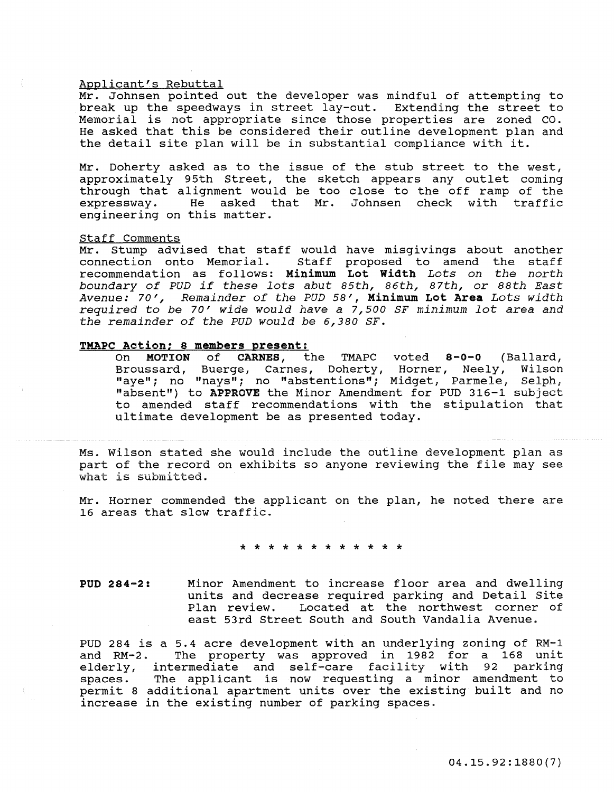#### Applicant's Rebuttal

Mr. Johnsen pointed out the developer was mindful of attempting to break up the speedways in street lay-out. Extending the street to break up the speedways in street lay-out. Memorial is not appropriate since those properties are zoned CO. He asked that this be considered their outline development plan and the detail site plan will be in substantial compliance with it.

Mr. Doherty asked as to the issue of the stub street to the west, approximately 95th street, the sketch appears any outlet coming through that alignment would be too close to the off ramp of the expressway. He asked that Mr. Johnsen check with traffic He asked that Mr. Johnsen check with traffic engineering on this matter.

#### staff Comments

Mr. Stump advised that staff would have misgivings about another<br>connection onto Memorial. Staff proposed to amend the staff Staff proposed to amend the staff recommendation as follows: Minimum Lot width *Lots on the north boundary of PUD if these lots abut 85th, 86th, 87th,* or *88th East Avenue: 70', Remainder of the PUD* 58', Minimum Lot Area *Lots width required* to *be 70' wide would have* a *7,500* SF *minimum lot area and the remainder of the PUD would be 6,380 SF.* 

# TMAPC Action; 8 members present:

On MOTION of CARNES, the TMAPC voted 8-0-0 (Ballard, Broussard, Buerge, Carnes, Doherty, Horner, Neely, Wilson "aye"; no "nays"; no "abstentions"; Midget, Parmele, Selph; "absent") to APPROVE the Minor Amendment for PUD 316-1 subject to amended staff recommendations with the stipulation that ultimate development be as presented today.

Ms. Wilson stated she would include the outline development plan as part of the record on exhibits so anyone reviewing the file may see what is submitted.

Mr. Horner commended the applicant on the plan, he noted there are 16 areas that slow traffic.

\* \* \* \* \* \* \* \* \* \* \* \*

PUD 284-2: Minor Amendment to increase floor area and dwelling units and decrease required parking and Detail Site Located at the northwest corner of east 53rd Street South and South Vandalia Avenue.

PUD 284 is a 5.4 acre development with an underlying zoning of RM-1 The property was approved in 1982 for a 168 unit and not z. The property was approved in 1982 181 a 188 ante and RM-2. spaces. permit 8 additional apartment units over the existing built and no increase in the existing number of parking spaces. The applicant is now requesting a minor amendment to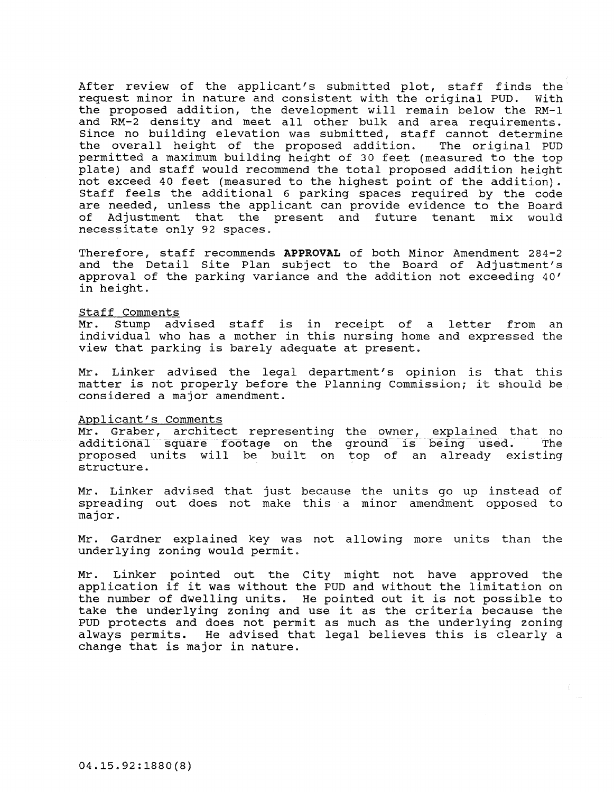After review of the applicant's submitted plot, staff finds the request minor in nature and consistent with the original PUD. with the proposed addition, the development will remain below the RM-1 and RM-2 density and meet all other bulk and area requirements. since no building elevation was submitted, staff cannot determine<br>the overall height of the proposed addition. The original PUD the overall height of the proposed addition. permitted a maximum building height of 30 feet (measured to the top plate) and staff would recommend the total proposed addition height not exceed 40 feet (measured to the highest point of the addition). staff feels the additional 6 parking spaces required by the code are needed, unless the applicant can provide evidence to the Board<br>of Adjustment, that, the present and future, tenant, mix would Adjustment that the present and future tenant mix would necessitate only 92 spaces.

Therefore, staff recommends APPROVAL of both Minor Amendment 284-2 and the Detail Site Plan subject to the Board of Adjustment's approval of the parking variance and the addition not exceeding 40' in height.

# Staff Comments<br>Mr. Stump ad

advised staff is in receipt of a letter from an individual who has a mother in this nursing home and expressed the view that parking is barely adequate at present.

Mr. Linker advised the legal department's opinion is that this matter is not properly before the Planning Commission; it should be considered a major amendment.

#### Applicant's Comments

Nr. Graber, architect representing additional square footage on the proposed units will be built on top of an already existing structure. the owner, explained that no ground is being used. The

Mr. Linker advised that just because the units go up instead of spreading out does not make this a minor amendment opposed to major.

Mr. Gardner explained key was not allowing more units than the underlying zoning would permit.

Mr. Linker pointed out the city might not have approved the application if it was without the PUD and without the limitation on the number of dwelling units. He pointed out it is not possible to take the underlying zoning and use it as the criteria because the PUD protects and does not permit as much as the underlying zoning always permits. He advised that legal believes this is clearly a change that is major in nature.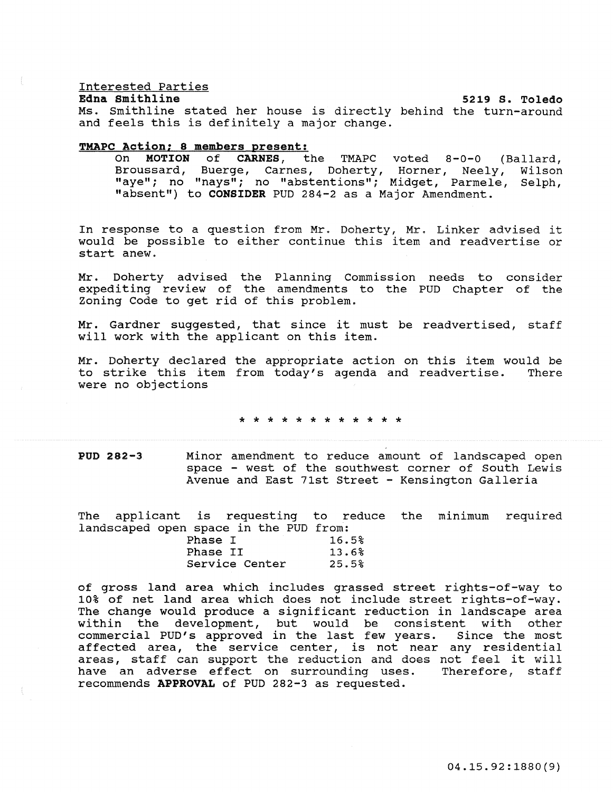#### Interested Parties

#### Edna smithline

Ms. smithline stated her house is directly behind the turn-around and feels this is definitely a major change. 5219 S. Toledo

# TMAPC Action; 8 members present:

On MOTION of CARNES, the TMAPC voted 8-0-0 (Ballard, Broussard, Buerge, Carnes, Doherty, Horner, Neely, Wilson Broussard, Buerge, Carnes, Doherty, Horner, Neely, Wilson<br>"aye"; no "nays"; no "abstentions"; Midget, Parmele, Selph, "absent") to CONSIDER PUD 284-2 as a Major Amendment.

In response to a question from Mr. Doherty, Mr. Linker advised it would be possible to either continue this item and readvertise or start anew.

Mr. Doherty advised the Planning Commission needs to consider expediting review of the amendments to the PUD Chapter of the Zoning Code to get rid of this problem.

Mr. Gardner suggested, that since it must be readvertised, staff will work with the applicant on this item.

Mr. Doherty declared the appropriate action on this item would be to strike this item from today's agenda and readvertise. There to strike this item from today's agenda and readvertise. were no objections

\* \* \* \* \* \* \* \* \* \* \* \*

POD 282-3 Minor amendment to reduce amount of landscaped open space - west of the southwest corner of South Lewis Avenue and East 71st Street - Kensington Galleria

The applicant is requesting to reduce the minimum required landscaped open space in the PUD from:

| Phase I  |                | 16.5% |
|----------|----------------|-------|
| Phase II |                | 13.6% |
|          | Service Center | 25.5% |

of gross land area which includes grassed street rights-of-way to 10% of net land area which does not include street rights-of-way. The change would produce a significant reduction in landscape area within the development, but would be consistent with other commercial PUD's approved in the last few years. Since the most commercial rob B approved in the fase few years. Since the mose **areas, staff can support the reduction and does not feel it will**  have an adverse effect on surrounding uses. Therefore, staff recommends APPROVAL of PUD 282-3 as requested.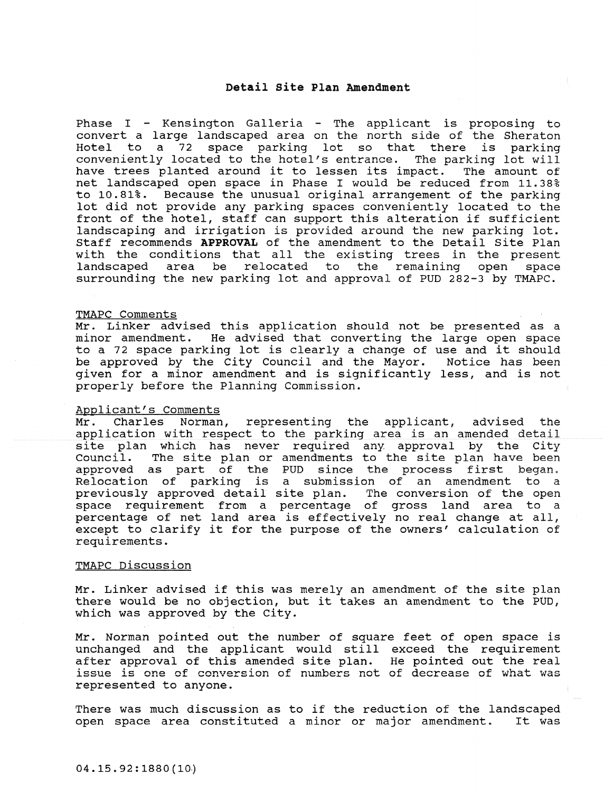#### Detail site Plan Amendment

Phase I  $-$  Kensington Galleria  $-$  The applicant is proposing to convert a large landscaped area on the north side of the Sheraton Hotel to a 72 space parking lot so that there is parking **conveniently located to the hotel's entrance. The parking lot will**  have trees planted around it to lessen its impact. net landscaped open space in Phase I would be reduced from 11.38% to 10.81%. Because the unusual original arrangement of the parking lot did not provide any parking spaces conveniently located to the front of the hotel, staff can support this alteration if sufficient landscaping and irrigation is provided around the new parking lot. Staff recommends APPROVAL of the amendment to the Detail site Plan with the conditions that all the existing trees in the present<br>landscaped area be relocated to the remaining open space landscaped area be relocated surrounding the new parking lot and approval of PUD 282-3 by TMAPC.

#### TMAPC Comments

Mr. Linker advised this application should not be presented as a minor amendment. He advised that converting the large open space to a 72 space parking lot is clearly a change of use and it should be approved by the City Council and the Mayor. Notice has been given for a minor amendment and is significantly less, and is not properly before the Planning Commission.

# Applicant's Comments

Mr. Charles Norman, representing the applicant, advised the application with respect to the parking area is an amended detail site plan which has never required any approval by the City<br>Council. The site plan or amendments to the site plan have been The site plan or amendments to the site plan have been approved as part of the PUD since the process first began. Relocation of parking is a submission of an amendment to a previously approved detail site plan. The conversion of the open space requirement from a percentage of gross land area to a percentage of net land area is effectively no real change at all, except to clarify it for the purpose of the owners' calculation of requirements.

# TMAPC Discussion

Mr. Linker advised if this was merely an amendment of the site plan there would be no objection, but it takes an amendment to the PUD, which was approved by the city.

Mr. Norman pointed out the number of square feet of open space is unchanged and the applicant would still exceed the requirement after approval of this amended site plan. He pointed out the real **issue is one of conversion**  represented to anyone.

There was much discussion as to if the reduction of the landscaped<br>open space area constituted a minor or major amendment. It was open space area constituted a minor or major amendment.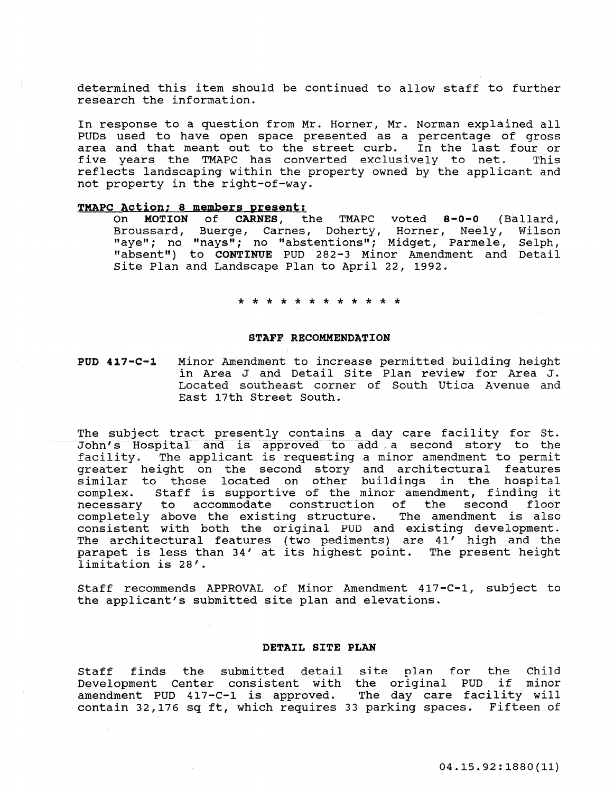determined this item should be continued to allow staff to further research the information.

In response to a question from Mr. Horner, Mr. Norman explained all PUDs used to have open space presented as a percentage of gross area and that meant out to the street curb. In the last four or<br>five years the TMAPC has converted exclusively to net. This five years the TMAPC has converted exclusively to net. reflects landscaping within the property owned by the applicant and not property in the right-of-way.

# **TMAPC Action; 8 members present:**

On **MOTION of CARNES,** the TMAPC voted **8-0-0** (Ballard, Broussard, Buerge, Carnes, Doherty, Horner, Neely, "aye"; no "nays"; no "abstentions"; Midget, Parmele, Selph, "absent") to **CONTINUE** PUD 282-3 Minor Amendment and Detail site Plan and Landscape Plan to April 22, 1992.

\* \* \* \* \* \* \* \* \* \* \* \*

#### **STAFF RECOMMENDATION**

**PUD** 417-C-l Minor Amendment to increase permitted building height in Area J and Detail Site Plan review for Area J. Located southeast corner of South utica Avenue and East 17th Street South.

The subject tract presently contains a day care facility for st. John's Hospital and is approved to add a second story to the facility. The applicant is requesting a minor amendment to permit greater height on the second story and architectural features similar to those located on other buildings in the hospital complex. Staff is supportive of the minor amendment, finding it necessary to accommodate construction of necessary to accommodate construction of the second frost consistent with both the original PUD and existing development. The architectural features (two pediments) are 41' high and the parapet is less than 34' at its highest point. The present height limitation is 28'.

Staff recommends APPROVAL of Minor Amendment 417-C-1, subject to the applicant's submitted site plan and elevations.

#### **DETAIL SITE PLAN**

Staff finds the submitted detail site plan for the Child Development Center consistent with the original PUD if minor amendment PUD 417-C-1 is approved. The day care facility will contain 32,176 sq ft, which requires 33 parking spaces. Fifteen of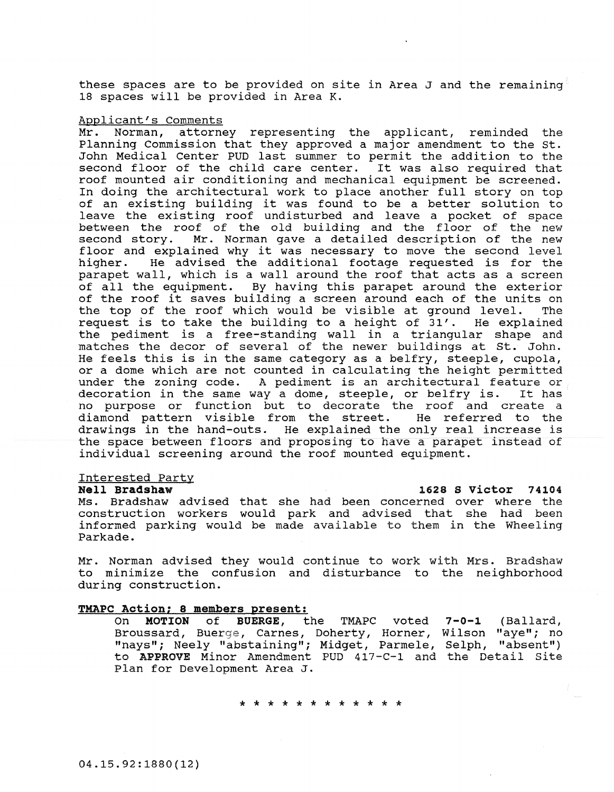these spaces are to be provided on site in Area J and the remaining 18 spaces will be provided in Area K.

#### Applicant's Comments

Mr. Norman, attorney representing the applicant, reminded the Planning Commission that they approved a major amendment to the st. John Medical Center PUD last summer to permit the addition to the second floor of the child care center. It was also required that roof mounted air conditioning and mechanical equipment be screened. In doing the architectural work to place another full story on top of an existing building it was found to be a better solution to leave the existing roof undisturbed and leave a pocket of space between the roof of the old building and the floor of the new second story. Mr. Norman gave a detailed description of the new Mr. Norman gave a detailed description of the new floor and explained why it was necessary to move the second level<br>higher. He advised the additional footage requested is for the He advised the additional footage requested is for the parapet wall, which is a wall around the roof that acts as a screen of all the equipment. By having this parapet around the exterior of the roof it saves building a screen around each of the units on<br>the top of the roof which would be visible at ground level. The the top of the roof which would be visible at ground level. request is to take the building to a height of 31'. He explained the pediment is a free-standing wall in a triangular shape and matches the decor of several of the newer buildings at st. John. He feels this is in the same category as a belfry, steeple, cupola, or a dome which are not counted in calculating the height permitted **under the zoning code. A pediment is an architectural feature or**  decoration in the same way a dome, steeple, or belfry is. no purpose or function but to decorate the roof and create a diamond pattern visible from the street. He referred to the diamond pattern visible from the street. drawings in the hand-outs. He explained the only real increase is the space between floors and proposing to have a parapet instead of individual screening around the roof mounted equipment.

# Interested Party<br>Nell Bradshaw

Ms. Bradshaw advised that she had been concerned over where the construction workers would park and advised that she had been informed parking would be made available to them in the Wheeling Parkade.

Mr. Norman advised they would continue to work with Mrs. Bradshaw to minimize the confusion and disturbance to the neighborhood during construction.

# TMAPC Action; 8 **members present:**

On **MOTION of BUERGE,** the TMAPC voted Broussard, Buerge, Carnes, Doherty, Horner, Wilson "aye"; no "nays"; Neely "abstaining"; Midget, Parmele, Selph, "absent") to **APPROVE** Minor Amendment PUD 417-C-1 and the Detail Site Plan for Development Area J. 7-0-1 (Ballard,

\* \* \* \* \* \* \* \* \* \* \* \*

**Nell Bradshaw** 1628 S victor 74104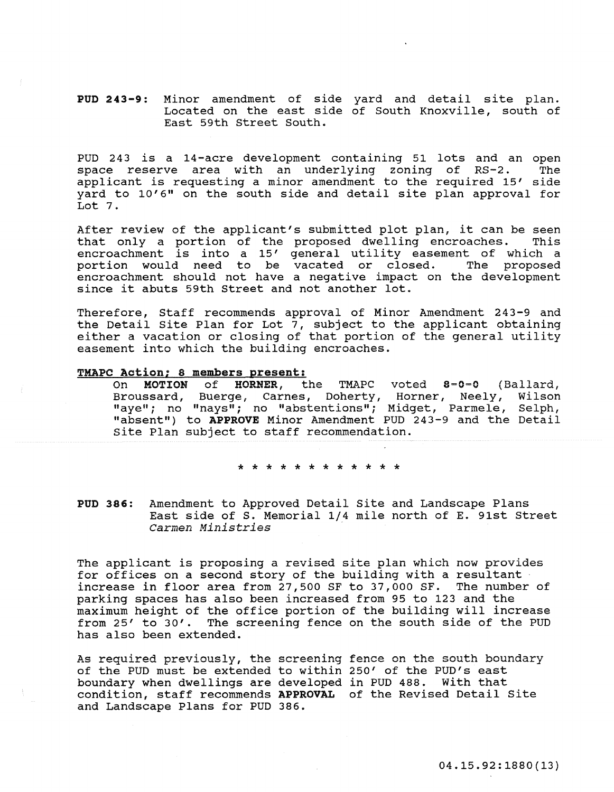PUD 243-9: Minor amendment of side yard and detail site plan. Located on the east side of South Knoxville, south of East 59th Street South.

PUD 243 is a 14-acre development containing 51 lots and an open space reserve area with an underlying zoning of RS-2. applicant is requesting a minor amendment to the required 15' side yard to 10'6" on the south side and detail site plan approval for Lot 7.

After review of the applicant's submitted plot plan, it can be seen<br>that only a portion of the proposed dwelling encroaches. This that only a portion of the proposed dwelling encroaches. encroachment is into a 15' general utility easement of which a portion would need to be vacated or closed. The proposed encroachment should not have a negative impact on the development since it abuts 59th Street and not another lot.

Therefore, Staff recommends approval of Minor Amendment 243-9 and the Detail Site Plan for Lot  $7$ , subject to the applicant obtaining either a vacation or closing of that portion of the general utility easement into which the building encroaches.

#### TMAPC Action; 8 members present:

On MOTION of HORNER, the TMAPC voted 8-0-0 (Ballard,<br>Broussard, Buerge, Carnes, Doherty, Horner, Neely, Wilson Broussard, Buerge, Carnes, Doherty, Horner, Neely, Wilson "aye"; no "nays"; no "abstentions"; Midget, Parmele, Selph, "absent") to APPROVE Minor Amendment PUD 243-9 and the Detail site Plan subject to staff recommendation.

اف اف اف اف اف اف اف

PUD 386: Amendment to Approved Detail site and Landscape Plans East side of S. Memorial 1/4 mile north of E. 91st Street *Carmen Ministries .* 

The applicant is proposing a revised site plan which now provides for offices on a second story of the building with a resultant increase in floor area from 27,500 SF to 37,000 SF. The number of parking spaces has also been increased from 95 to 123 and the maximum height of the office portion of the building will increase from 25' to 30'. The screening fence on the south side of the PUD has also been extended.

As required previously, the screening fence on the south boundary of the PUD must be extended to within 250' of the PUD's east boundary when dwellings are developed in PUD 488. with that boundary when uwefflings are developed in Fob 400. When that and Landscape Plans for PUD 386.